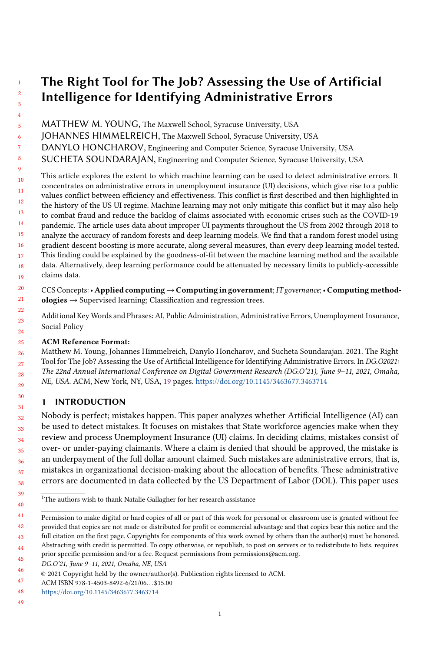MATTHEW M. YOUNG, The Maxwell School, Syracuse University, USA

JOHANNES HIMMELREICH, The Maxwell School, Syracuse University, USA

DANYLO HONCHAROV, Engineering and Computer Science, Syracuse University, USA

SUCHETA SOUNDARAJAN, Engineering and Computer Science, Syracuse University, USA

10 11 12 13 14 15 16 17 18 19 This article explores the extent to which machine learning can be used to detect administrative errors. It concentrates on administrative errors in unemployment insurance (UI) decisions, which give rise to a public values conflict between efficiency and effectiveness. This conflict is first described and then highlighted in the history of the US UI regime. Machine learning may not only mitigate this conflict but it may also help to combat fraud and reduce the backlog of claims associated with economic crises such as the COVID-19 pandemic. The article uses data about improper UI payments throughout the US from 2002 through 2018 to analyze the accuracy of random forests and deep learning models. We find that a random forest model using gradient descent boosting is more accurate, along several measures, than every deep learning model tested. This finding could be explained by the goodness-of-fit between the machine learning method and the available data. Alternatively, deep learning performance could be attenuated by necessary limits to publicly-accessible claims data.

 $20$ 21 CCS Concepts: • Applied computing → Computing in government; IT governance; • Computing method $ologies \rightarrow$  Supervised learning; Classification and regression trees.

22 23 24 Additional Key Words and Phrases: AI, Public Administration, Administrative Errors, Unemployment Insurance, Social Policy

#### 25 ACM Reference Format:

26 27 28 29 Matthew M. Young, Johannes Himmelreich, Danylo Honcharov, and Sucheta Soundarajan. 2021. The Right Tool for The Job? Assessing the Use of Artificial Intelligence for Identifying Administrative Errors. In DG.O2021: The 22nd Annual International Conference on Digital Government Research (DG.O'21), June 9–11, 2021, Omaha, NE, USA. ACM, New York, NY, USA, [19](#page-18-0) pages. <https://doi.org/10.1145/3463677.3463714>

## 1 INTRODUCTION

Nobody is perfect; mistakes happen. This paper analyzes whether Artificial Intelligence (AI) can be used to detect mistakes. It focuses on mistakes that State workforce agencies make when they review and process Unemployment Insurance (UI) claims. In deciding claims, mistakes consist of over- or under-paying claimants. Where a claim is denied that should be approved, the mistake is an underpayment of the full dollar amount claimed. Such mistakes are administrative errors, that is, mistakes in organizational decision-making about the allocation of benefits. These administrative errors are documented in data collected by the US Department of Labor (DOL). This paper uses

 $^{\rm 1}{\rm The}$  authors wish to thank Natalie Gallagher for her research assistance

<sup>41</sup> 42 43 Permission to make digital or hard copies of all or part of this work for personal or classroom use is granted without fee provided that copies are not made or distributed for profit or commercial advantage and that copies bear this notice and the full citation on the first page. Copyrights for components of this work owned by others than the author(s) must be honored.

<sup>44</sup> 45 Abstracting with credit is permitted. To copy otherwise, or republish, to post on servers or to redistribute to lists, requires prior specific permission and/or a fee. Request permissions from permissions@acm.org.

<sup>46</sup> DG.O'21, June 9–11, 2021, Omaha, NE, USA

<sup>©</sup> 2021 Copyright held by the owner/author(s). Publication rights licensed to ACM.

<sup>47</sup> ACM ISBN 978-1-4503-8492-6/21/06. . . \$15.00

<sup>48</sup> <https://doi.org/10.1145/3463677.3463714>

<sup>49</sup>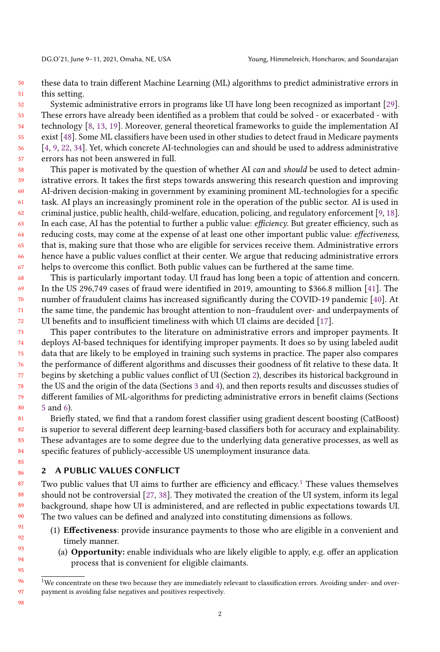50 51 these data to train different Machine Learning (ML) algorithms to predict administrative errors in this setting.

52 53 54 55 56 57 Systemic administrative errors in programs like UI have long been recognized as important [\[29\]](#page-17-0). These errors have already been identified as a problem that could be solved - or exacerbated - with technology [\[8,](#page-16-0) [13,](#page-17-1) [19\]](#page-17-2). Moreover, general theoretical frameworks to guide the implementation AI exist [\[48\]](#page-18-1). Some ML classifiers have been used in other studies to detect fraud in Medicare payments [\[4,](#page-16-1) [9,](#page-16-2) [22,](#page-17-3) [34\]](#page-17-4). Yet, which concrete AI-technologies can and should be used to address administrative errors has not been answered in full.

- 58 59 60 61 62 63 64 65 66 67 This paper is motivated by the question of whether AI can and should be used to detect administrative errors. It takes the first steps towards answering this research question and improving AI-driven decision-making in government by examining prominent ML-technologies for a specific task. AI plays an increasingly prominent role in the operation of the public sector. AI is used in criminal justice, public health, child-welfare, education, policing, and regulatory enforcement [\[9,](#page-16-2) [18\]](#page-17-5). In each case, AI has the potential to further a public value: efficiency. But greater efficiency, such as reducing costs, may come at the expense of at least one other important public value: effectiveness, that is, making sure that those who are eligible for services receive them. Administrative errors hence have a public values conflict at their center. We argue that reducing administrative errors helps to overcome this conflict. Both public values can be furthered at the same time.
- 68 69 70 71 72 This is particularly important today. UI fraud has long been a topic of attention and concern. In the US 296,749 cases of fraud were identified in 2019, amounting to \$366.8 million [\[41\]](#page-18-2). The number of fraudulent claims has increased significantly during the COVID-19 pandemic [\[40\]](#page-18-3). At the same time, the pandemic has brought attention to non–fraudulent over- and underpayments of UI benefits and to insufficient timeliness with which UI claims are decided [\[17\]](#page-17-6).
- 73 74 75 76 77 78 79  $80$ This paper contributes to the literature on administrative errors and improper payments. It deploys AI-based techniques for identifying improper payments. It does so by using labeled audit data that are likely to be employed in training such systems in practice. The paper also compares the performance of different algorithms and discusses their goodness of fit relative to these data. It begins by sketching a public values conflict of UI (Section [2\)](#page-1-0), describes its historical background in the US and the origin of the data (Sections [3](#page-3-0) and [4\)](#page-5-0), and then reports results and discusses studies of different families of ML-algorithms for predicting administrative errors in benefit claims (Sections [5](#page-10-0) and [6\)](#page-12-0).

81 82 83 84 Briefly stated, we find that a random forest classifier using gradient descent boosting (CatBoost) is superior to several different deep learning-based classifiers both for accuracy and explainability. These advantages are to some degree due to the underlying data generative processes, as well as specific features of publicly-accessible US unemployment insurance data.

#### <span id="page-1-0"></span>2 A PUBLIC VALUES CONFLICT

Two public values that UI aims to further are efficiency and efficacy.<sup>[1](#page-1-1)</sup> These values themselves should not be controversial [\[27,](#page-17-7) [38\]](#page-18-4). They motivated the creation of the UI system, inform its legal background, shape how UI is administered, and are reflected in public expectations towards UI. The two values can be defined and analyzed into constituting dimensions as follows.

- (1) Effectiveness: provide insurance payments to those who are eligible in a convenient and timely manner.
	- (a) Opportunity: enable individuals who are likely eligible to apply, e.g. offer an application process that is convenient for eligible claimants.

97 98

<span id="page-1-1"></span> $1$ We concentrate on these two because they are immediately relevant to classification errors. Avoiding under- and overpayment is avoiding false negatives and positives respectively.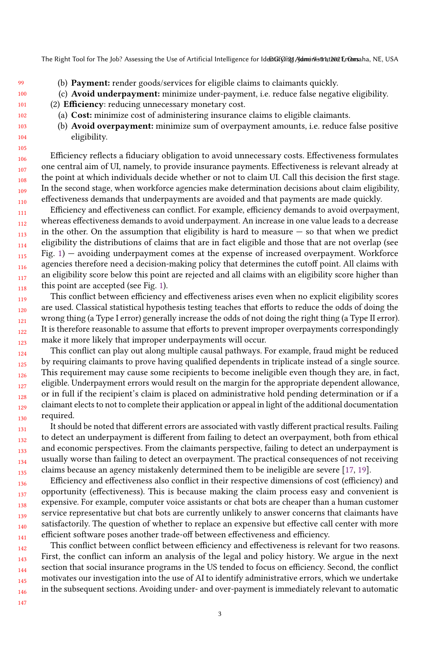99 (b) Payment: render goods/services for eligible claims to claimants quickly.

(c) Avoid underpayment: minimize under-payment, i.e. reduce false negative eligibility.

- (2) Efficiency: reducing unnecessary monetary cost.
	- (a) Cost: minimize cost of administering insurance claims to eligible claimants.
	- (b) Avoid overpayment: minimize sum of overpayment amounts, i.e. reduce false positive eligibility.

Efficiency reflects a fiduciary obligation to avoid unnecessary costs. Effectiveness formulates one central aim of UI, namely, to provide insurance payments. Effectiveness is relevant already at the point at which individuals decide whether or not to claim UI. Call this decision the first stage. In the second stage, when workforce agencies make determination decisions about claim eligibility, effectiveness demands that underpayments are avoided and that payments are made quickly.

111 112 113 114 115 116 117 118 Efficiency and effectiveness can conflict. For example, efficiency demands to avoid overpayment, whereas effectiveness demands to avoid underpayment. An increase in one value leads to a decrease in the other. On the assumption that eligibility is hard to measure  $-$  so that when we predict eligibility the distributions of claims that are in fact eligible and those that are not overlap (see Fig. [1\)](#page-3-1) — avoiding underpayment comes at the expense of increased overpayment. Workforce agencies therefore need a decision-making policy that determines the cutoff point. All claims with an eligibility score below this point are rejected and all claims with an eligibility score higher than this point are accepted (see Fig. [1\)](#page-3-1).

119 120 121 122 123 This conflict between efficiency and effectiveness arises even when no explicit eligibility scores are used. Classical statistical hypothesis testing teaches that efforts to reduce the odds of doing the wrong thing (a Type I error) generally increase the odds of not doing the right thing (a Type II error). It is therefore reasonable to assume that efforts to prevent improper overpayments correspondingly make it more likely that improper underpayments will occur.

124 125 126 127 128 129 130 This conflict can play out along multiple causal pathways. For example, fraud might be reduced by requiring claimants to prove having qualified dependents in triplicate instead of a single source. This requirement may cause some recipients to become ineligible even though they are, in fact, eligible. Underpayment errors would result on the margin for the appropriate dependent allowance, or in full if the recipient's claim is placed on administrative hold pending determination or if a claimant elects to not to complete their application or appeal in light of the additional documentation required.

131 132 133 134 135 It should be noted that different errors are associated with vastly different practical results. Failing to detect an underpayment is different from failing to detect an overpayment, both from ethical and economic perspectives. From the claimants perspective, failing to detect an underpayment is usually worse than failing to detect an overpayment. The practical consequences of not receiving claims because an agency mistakenly determined them to be ineligible are severe [\[17,](#page-17-6) [19\]](#page-17-2).

136 137 138 139 140 141 Efficiency and effectiveness also conflict in their respective dimensions of cost (efficiency) and opportunity (effectiveness). This is because making the claim process easy and convenient is expensive. For example, computer voice assistants or chat bots are cheaper than a human customer service representative but chat bots are currently unlikely to answer concerns that claimants have satisfactorily. The question of whether to replace an expensive but effective call center with more efficient software poses another trade-off between effectiveness and efficiency.

142 143 144 145 146 This conflict between conflict between efficiency and effectiveness is relevant for two reasons. First, the conflict can inform an analysis of the legal and policy history. We argue in the next section that social insurance programs in the US tended to focus on efficiency. Second, the conflict motivates our investigation into the use of AI to identify administrative errors, which we undertake in the subsequent sections. Avoiding under- and over-payment is immediately relevant to automatic

147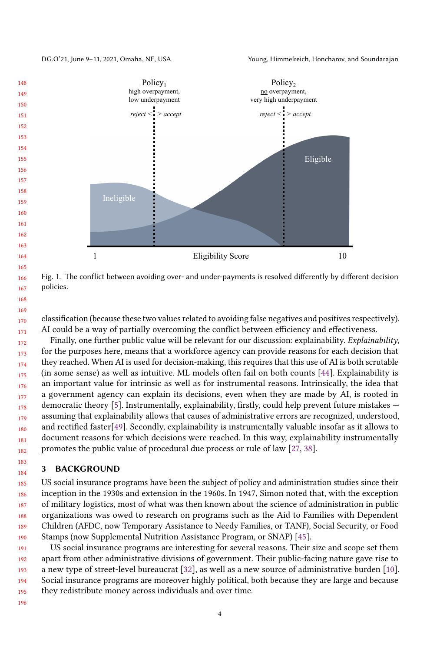DG.O'21, June 9–11, 2021, Omaha, NE, USA Young, Himmelreich, Honcharov, and Soundarajan

<span id="page-3-1"></span>

Fig. 1. The conflict between avoiding over- and under-payments is resolved differently by different decision policies.

170 171 classification (because these two values related to avoiding false negatives and positives respectively). AI could be a way of partially overcoming the conflict between efficiency and effectiveness.

172 173 174 175 176 177 178 179 180 181 182 Finally, one further public value will be relevant for our discussion: explainability. Explainability, for the purposes here, means that a workforce agency can provide reasons for each decision that they reached. When AI is used for decision-making, this requires that this use of AI is both scrutable (in some sense) as well as intuitive. ML models often fail on both counts [\[44\]](#page-18-5). Explainability is an important value for intrinsic as well as for instrumental reasons. Intrinsically, the idea that a government agency can explain its decisions, even when they are made by AI, is rooted in democratic theory [\[5\]](#page-16-3). Instrumentally, explainability, firstly, could help prevent future mistakes assuming that explainability allows that causes of administrative errors are recognized, understood, and rectified faster[\[49\]](#page-18-6). Secondly, explainability is instrumentally valuable insofar as it allows to document reasons for which decisions were reached. In this way, explainability instrumentally promotes the public value of procedural due process or rule of law [\[27,](#page-17-7) [38\]](#page-18-4).

#### <span id="page-3-0"></span>3 BACKGROUND

185 186 187 188 189 190 US social insurance programs have been the subject of policy and administration studies since their inception in the 1930s and extension in the 1960s. In 1947, Simon noted that, with the exception of military logistics, most of what was then known about the science of administration in public organizations was owed to research on programs such as the Aid to Families with Dependent Children (AFDC, now Temporary Assistance to Needy Families, or TANF), Social Security, or Food Stamps (now Supplemental Nutrition Assistance Program, or SNAP) [\[45\]](#page-18-7).

191 192 193 194 195 US social insurance programs are interesting for several reasons. Their size and scope set them apart from other administrative divisions of government. Their public-facing nature gave rise to a new type of street-level bureaucrat [\[32\]](#page-17-8), as well as a new source of administrative burden [\[10\]](#page-16-4). Social insurance programs are moreover highly political, both because they are large and because they redistribute money across individuals and over time.

196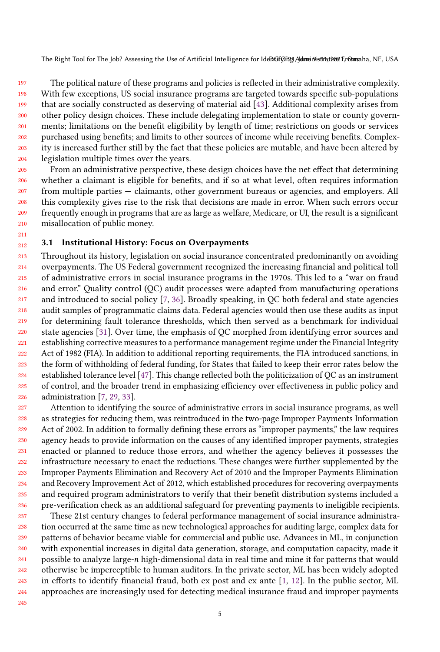197 198 199 200 201 202 203 204 The political nature of these programs and policies is reflected in their administrative complexity. With few exceptions, US social insurance programs are targeted towards specific sub-populations that are socially constructed as deserving of material aid [\[43\]](#page-18-8). Additional complexity arises from other policy design choices. These include delegating implementation to state or county governments; limitations on the benefit eligibility by length of time; restrictions on goods or services purchased using benefits; and limits to other sources of income while receiving benefits. Complexity is increased further still by the fact that these policies are mutable, and have been altered by legislation multiple times over the years.

205 206 207 208 209 210 From an administrative perspective, these design choices have the net effect that determining whether a claimant is eligible for benefits, and if so at what level, often requires information from multiple parties — claimants, other government bureaus or agencies, and employers. All this complexity gives rise to the risk that decisions are made in error. When such errors occur frequently enough in programs that are as large as welfare, Medicare, or UI, the result is a significant misallocation of public money.

#### 212 3.1 Institutional History: Focus on Overpayments

213 214 215 216 217 218 219 220 221 222 223 224 225 226 Throughout its history, legislation on social insurance concentrated predominantly on avoiding overpayments. The US Federal government recognized the increasing financial and political toll of administrative errors in social insurance programs in the 1970s. This led to a "war on fraud and error." Quality control (QC) audit processes were adapted from manufacturing operations and introduced to social policy [\[7,](#page-16-5) [36\]](#page-18-9). Broadly speaking, in QC both federal and state agencies audit samples of programmatic claims data. Federal agencies would then use these audits as input for determining fault tolerance thresholds, which then served as a benchmark for individual state agencies [\[31\]](#page-17-9). Over time, the emphasis of QC morphed from identifying error sources and establishing corrective measures to a performance management regime under the Financial Integrity Act of 1982 (FIA). In addition to additional reporting requirements, the FIA introduced sanctions, in the form of withholding of federal funding, for States that failed to keep their error rates below the established tolerance level [\[47\]](#page-18-10). This change reflected both the politicization of QC as an instrument of control, and the broader trend in emphasizing efficiency over effectiveness in public policy and administration [\[7,](#page-16-5) [29,](#page-17-0) [33\]](#page-17-10).

227 228 229 230 231 232 233 234 235 236 Attention to identifying the source of administrative errors in social insurance programs, as well as strategies for reducing them, was reintroduced in the two-page Improper Payments Information Act of 2002. In addition to formally defining these errors as "improper payments," the law requires agency heads to provide information on the causes of any identified improper payments, strategies enacted or planned to reduce those errors, and whether the agency believes it possesses the infrastructure necessary to enact the reductions. These changes were further supplemented by the Improper Payments Elimination and Recovery Act of 2010 and the Improper Payments Elimination and Recovery Improvement Act of 2012, which established procedures for recovering overpayments and required program administrators to verify that their benefit distribution systems included a pre-verification check as an additional safeguard for preventing payments to ineligible recipients.

237 238 239 240 241 242 243 244 These 21st century changes to federal performance management of social insurance administration occurred at the same time as new technological approaches for auditing large, complex data for patterns of behavior became viable for commercial and public use. Advances in ML, in conjunction with exponential increases in digital data generation, storage, and computation capacity, made it possible to analyze large-*n* high-dimensional data in real time and mine it for patterns that would otherwise be imperceptible to human auditors. In the private sector, ML has been widely adopted in efforts to identify financial fraud, both ex post and ex ante [\[1,](#page-16-6) [12\]](#page-17-11). In the public sector, ML approaches are increasingly used for detecting medical insurance fraud and improper payments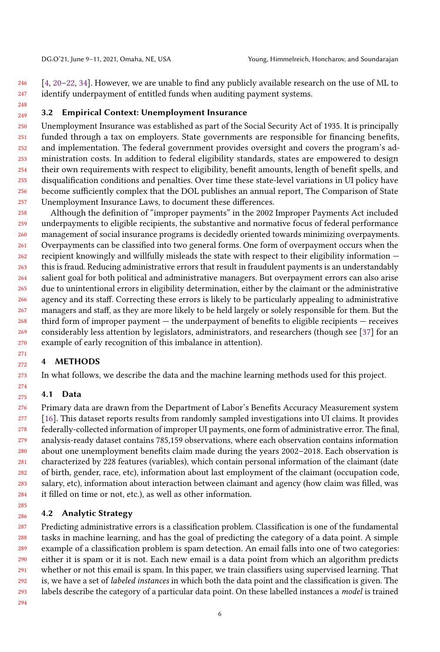246 247 [\[4,](#page-16-1) [20](#page-17-12)[–22,](#page-17-3) [34\]](#page-17-4). However, we are unable to find any publicly available research on the use of ML to identify underpayment of entitled funds when auditing payment systems.

#### 249 3.2 Empirical Context: Unemployment Insurance

250 251 252 253 254 255 256 257 Unemployment Insurance was established as part of the Social Security Act of 1935. It is principally funded through a tax on employers. State governments are responsible for financing benefits, and implementation. The federal government provides oversight and covers the program's administration costs. In addition to federal eligibility standards, states are empowered to design their own requirements with respect to eligibility, benefit amounts, length of benefit spells, and disqualification conditions and penalties. Over time these state-level variations in UI policy have become sufficiently complex that the DOL publishes an annual report, The Comparison of State Unemployment Insurance Laws, to document these differences.

258 259 260 261 262 263 264 265 266 267 268 269 270 Although the definition of "improper payments" in the 2002 Improper Payments Act included underpayments to eligible recipients, the substantive and normative focus of federal performance management of social insurance programs is decidedly oriented towards minimizing overpayments. Overpayments can be classified into two general forms. One form of overpayment occurs when the recipient knowingly and willfully misleads the state with respect to their eligibility information this is fraud. Reducing administrative errors that result in fraudulent payments is an understandably salient goal for both political and administrative managers. But overpayment errors can also arise due to unintentional errors in eligibility determination, either by the claimant or the administrative agency and its staff. Correcting these errors is likely to be particularly appealing to administrative managers and staff, as they are more likely to be held largely or solely responsible for them. But the third form of improper payment — the underpayment of benefits to eligible recipients — receives considerably less attention by legislators, administrators, and researchers (though see [\[37\]](#page-18-11) for an example of early recognition of this imbalance in attention).

## <span id="page-5-0"></span>4 METHODS

In what follows, we describe the data and the machine learning methods used for this project.

## 4.1 Data

248

276 277 278 279 280 281 282 283 284 Primary data are drawn from the Department of Labor's Benefits Accuracy Measurement system [\[16\]](#page-17-13). This dataset reports results from randomly sampled investigations into UI claims. It provides federally-collected information of improper UI payments, one form of administrative error. The final, analysis-ready dataset contains 785,159 observations, where each observation contains information about one unemployment benefits claim made during the years 2002–2018. Each observation is characterized by 228 features (variables), which contain personal information of the claimant (date of birth, gender, race, etc), information about last employment of the claimant (occupation code, salary, etc), information about interaction between claimant and agency (how claim was filled, was it filled on time or not, etc.), as well as other information.

## 4.2 Analytic Strategy

287 288 289 290 291 292 293 Predicting administrative errors is a classification problem. Classification is one of the fundamental tasks in machine learning, and has the goal of predicting the category of a data point. A simple example of a classification problem is spam detection. An email falls into one of two categories: either it is spam or it is not. Each new email is a data point from which an algorithm predicts whether or not this email is spam. In this paper, we train classifiers using supervised learning. That is, we have a set of labeled instances in which both the data point and the classification is given. The labels describe the category of a particular data point. On these labelled instances a model is trained

294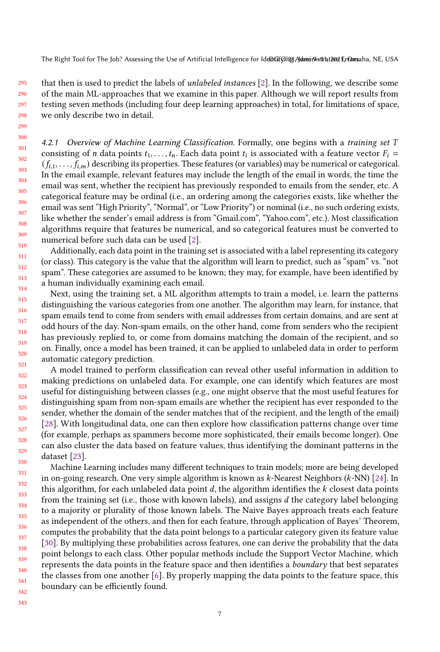295 296 298 that then is used to predict the labels of unlabeled instances [\[2\]](#page-16-7). In the following, we describe some of the main ML-approaches that we examine in this paper. Although we will report results from testing seven methods (including four deep learning approaches) in total, for limitations of space, we only describe two in detail.

4.2.1 Overview of Machine Learning Classification. Formally, one begins with a training set T consisting of *n* data points  $t_1, \ldots, t_n$ . Each data point  $t_i$  is associated with a feature vector  $F_i$  =  $(f_{i,1},...,f_{i,m})$  describing its properties. These features (or variables) may be numerical or categorical. In the email example, relevant features may include the length of the email in words, the time the email was sent, whether the recipient has previously responded to emails from the sender, etc. A categorical feature may be ordinal (i.e., an ordering among the categories exists, like whether the email was sent "High Priority", "Normal", or "Low Priority") or nominal (i.e., no such ordering exists, like whether the sender's email address is from "Gmail.com", "Yahoo.com", etc.). Most classification algorithms require that features be numerical, and so categorical features must be converted to numerical before such data can be used [\[2\]](#page-16-7).

Additionally, each data point in the training set is associated with a label representing its category (or class). This category is the value that the algorithm will learn to predict, such as "spam" vs. "not spam". These categories are assumed to be known; they may, for example, have been identified by a human individually examining each email.

Next, using the training set, a ML algorithm attempts to train a model, i.e. learn the patterns distinguishing the various categories from one another. The algorithm may learn, for instance, that spam emails tend to come from senders with email addresses from certain domains, and are sent at odd hours of the day. Non-spam emails, on the other hand, come from senders who the recipient has previously replied to, or come from domains matching the domain of the recipient, and so on. Finally, once a model has been trained, it can be applied to unlabeled data in order to perform automatic category prediction.

A model trained to perform classification can reveal other useful information in addition to making predictions on unlabeled data. For example, one can identify which features are most useful for distinguishing between classes (e.g., one might observe that the most useful features for distinguishing spam from non-spam emails are whether the recipient has ever responded to the sender, whether the domain of the sender matches that of the recipient, and the length of the email) [\[28\]](#page-17-14). With longitudinal data, one can then explore how classification patterns change over time (for example, perhaps as spammers become more sophisticated, their emails become longer). One can also cluster the data based on feature values, thus identifying the dominant patterns in the dataset [\[23\]](#page-17-15).

Machine Learning includes many different techniques to train models; more are being developed in on-going research. One very simple algorithm is known as  $k$ -Nearest Neighbors ( $k$ -NN) [\[24\]](#page-17-16). In this algorithm, for each unlabeled data point  $d$ , the algorithm identifies the  $k$  closest data points from the training set (i.e., those with known labels), and assigns  $d$  the category label belonging to a majority or plurality of those known labels. The Naive Bayes approach treats each feature as independent of the others, and then for each feature, through application of Bayes' Theorem, computes the probability that the data point belongs to a particular category given its feature value [\[30\]](#page-17-17). By multiplying these probabilities across features, one can derive the probability that the data point belongs to each class. Other popular methods include the Support Vector Machine, which represents the data points in the feature space and then identifies a boundary that best separates the classes from one another [\[6\]](#page-16-8). By properly mapping the data points to the feature space, this boundary can be efficiently found.

342 343

297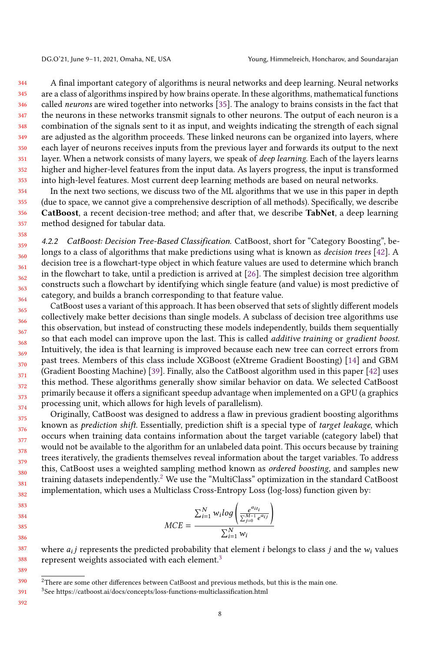344 345 346 347 348 349 350 351 352 353 A final important category of algorithms is neural networks and deep learning. Neural networks are a class of algorithms inspired by how brains operate. In these algorithms, mathematical functions called neurons are wired together into networks [\[35\]](#page-17-18). The analogy to brains consists in the fact that the neurons in these networks transmit signals to other neurons. The output of each neuron is a combination of the signals sent to it as input, and weights indicating the strength of each signal are adjusted as the algorithm proceeds. These linked neurons can be organized into layers, where each layer of neurons receives inputs from the previous layer and forwards its output to the next layer. When a network consists of many layers, we speak of deep learning. Each of the layers learns higher and higher-level features from the input data. As layers progress, the input is transformed into high-level features. Most current deep learning methods are based on neural networks.

354 355 356 357 In the next two sections, we discuss two of the ML algorithms that we use in this paper in depth (due to space, we cannot give a comprehensive description of all methods). Specifically, we describe CatBoost, a recent decision-tree method; and after that, we describe TabNet, a deep learning method designed for tabular data.

4.2.2 CatBoost: Decision Tree-Based Classification. CatBoost, short for "Category Boosting", belongs to a class of algorithms that make predictions using what is known as *decision trees* [\[42\]](#page-18-12). A decision tree is a flowchart-type object in which feature values are used to determine which branch in the flowchart to take, until a prediction is arrived at [\[26\]](#page-17-19). The simplest decision tree algorithm constructs such a flowchart by identifying which single feature (and value) is most predictive of category, and builds a branch corresponding to that feature value.

365 366 367 368 369 370 371 372 373 374 CatBoost uses a variant of this approach. It has been observed that sets of slightly different models collectively make better decisions than single models. A subclass of decision tree algorithms use this observation, but instead of constructing these models independently, builds them sequentially so that each model can improve upon the last. This is called *additive training* or gradient boost. Intuitively, the idea is that learning is improved because each new tree can correct errors from past trees. Members of this class include XGBoost (eXtreme Gradient Boosting) [\[14\]](#page-17-20) and GBM (Gradient Boosting Machine) [\[39\]](#page-18-13). Finally, also the CatBoost algorithm used in this paper [\[42\]](#page-18-12) uses this method. These algorithms generally show similar behavior on data. We selected CatBoost primarily because it offers a significant speedup advantage when implemented on a GPU (a graphics processing unit, which allows for high levels of parallelism).

375 376 377 378 379 380 381 382 Originally, CatBoost was designed to address a flaw in previous gradient boosting algorithms known as prediction shift. Essentially, prediction shift is a special type of target leakage, which occurs when training data contains information about the target variable (category label) that would not be available to the algorithm for an unlabeled data point. This occurs because by training trees iteratively, the gradients themselves reveal information about the target variables. To address this, CatBoost uses a weighted sampling method known as ordered boosting, and samples new training datasets independently.[2](#page-7-0) We use the "MultiClass" optimization in the standard CatBoost implementation, which uses a Multiclass Cross-Entropy Loss (log-loss) function given by:

$$
MCE = \frac{\sum_{i=1}^{N} w_i log\left(\frac{e^{a_{i t_i}}}{\sum_{j=0}^{M-1} e^{a_{i j}}}\right)}{\sum_{i=1}^{N} w_i}
$$

387 388 where  $a_{i}j$  represents the predicted probability that element  $i$  belongs to class  $j$  and the  $w_{i}$  values represent weights associated with each element.<sup>[3](#page-7-1)</sup>

392

389

<span id="page-7-0"></span><sup>390</sup>  $2$ There are some other differences between CatBoost and previous methods, but this is the main one.

<span id="page-7-1"></span><sup>391</sup> <sup>3</sup>See https://catboost.ai/docs/concepts/loss-functions-multiclassification.html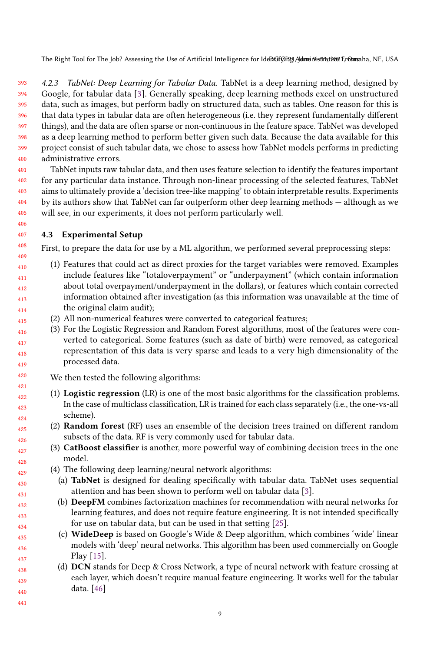393 394 395 396 397 398 399 400 4.2.3 TabNet: Deep Learning for Tabular Data. TabNet is a deep learning method, designed by Google, for tabular data [\[3\]](#page-16-9). Generally speaking, deep learning methods excel on unstructured data, such as images, but perform badly on structured data, such as tables. One reason for this is that data types in tabular data are often heterogeneous (i.e. they represent fundamentally different things), and the data are often sparse or non-continuous in the feature space. TabNet was developed as a deep learning method to perform better given such data. Because the data available for this project consist of such tabular data, we chose to assess how TabNet models performs in predicting administrative errors.

401 402 403 404 405 TabNet inputs raw tabular data, and then uses feature selection to identify the features important for any particular data instance. Through non-linear processing of the selected features, TabNet aims to ultimately provide a 'decision tree-like mapping' to obtain interpretable results. Experiments by its authors show that TabNet can far outperform other deep learning methods — although as we will see, in our experiments, it does not perform particularly well.

## 4.3 Experimental Setup

First, to prepare the data for use by a ML algorithm, we performed several preprocessing steps:

- (1) Features that could act as direct proxies for the target variables were removed. Examples include features like "totaloverpayment" or "underpayment" (which contain information about total overpayment/underpayment in the dollars), or features which contain corrected information obtained after investigation (as this information was unavailable at the time of the original claim audit);
- (2) All non-numerical features were converted to categorical features;
- (3) For the Logistic Regression and Random Forest algorithms, most of the features were converted to categorical. Some features (such as date of birth) were removed, as categorical representation of this data is very sparse and leads to a very high dimensionality of the processed data.

We then tested the following algorithms:

- (1) Logistic regression (LR) is one of the most basic algorithms for the classification problems. In the case of multiclass classification, LR is trained for each class separately (i.e., the one-vs-all scheme).
- (2) Random forest (RF) uses an ensemble of the decision trees trained on different random subsets of the data. RF is very commonly used for tabular data.
- (3) CatBoost classifier is another, more powerful way of combining decision trees in the one model.
	- (4) The following deep learning/neural network algorithms:
	- (a) TabNet is designed for dealing specifically with tabular data. TabNet uses sequential attention and has been shown to perform well on tabular data [\[3\]](#page-16-9).
	- (b) DeepFM combines factorization machines for recommendation with neural networks for learning features, and does not require feature engineering. It is not intended specifically for use on tabular data, but can be used in that setting [\[25\]](#page-17-21).
- (c) WideDeep is based on Google's Wide & Deep algorithm, which combines 'wide' linear models with 'deep' neural networks. This algorithm has been used commercially on Google Play [\[15\]](#page-17-22).
- 438 439 440 (d) DCN stands for Deep & Cross Network, a type of neural network with feature crossing at each layer, which doesn't require manual feature engineering. It works well for the tabular data. [\[46\]](#page-18-14)
- 441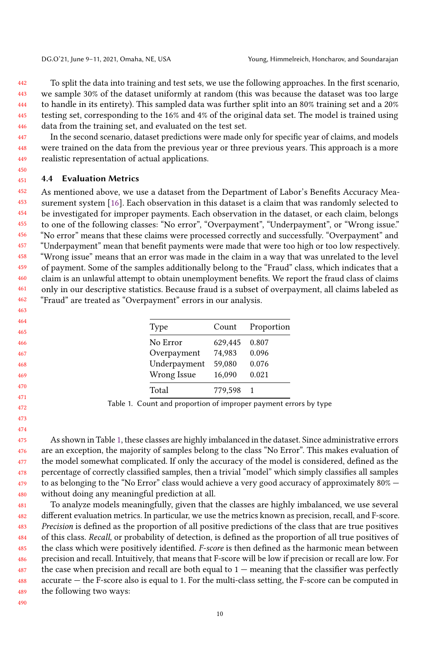442 443 444 445 446 To split the data into training and test sets, we use the following approaches. In the first scenario, we sample 30% of the dataset uniformly at random (this was because the dataset was too large to handle in its entirety). This sampled data was further split into an 80% training set and a 20% testing set, corresponding to the 16% and 4% of the original data set. The model is trained using data from the training set, and evaluated on the test set.

447 448 449 In the second scenario, dataset predictions were made only for specific year of claims, and models were trained on the data from the previous year or three previous years. This approach is a more realistic representation of actual applications.

#### 451 4.4 Evaluation Metrics

450

452 453 454 455 456 457 458 459 460 461 462 As mentioned above, we use a dataset from the Department of Labor's Benefits Accuracy Measurement system [\[16\]](#page-17-13). Each observation in this dataset is a claim that was randomly selected to be investigated for improper payments. Each observation in the dataset, or each claim, belongs to one of the following classes: "No error", "Overpayment", "Underpayment", or "Wrong issue." "No error" means that these claims were processed correctly and successfully. "Overpayment" and "Underpayment" mean that benefit payments were made that were too high or too low respectively. "Wrong issue" means that an error was made in the claim in a way that was unrelated to the level of payment. Some of the samples additionally belong to the "Fraud" class, which indicates that a claim is an unlawful attempt to obtain unemployment benefits. We report the fraud class of claims only in our descriptive statistics. Because fraud is a subset of overpayment, all claims labeled as "Fraud" are treated as "Overpayment" errors in our analysis.

<span id="page-9-0"></span>

| Type         | Count   | Proportion |
|--------------|---------|------------|
| No Error     | 629,445 | 0.807      |
| Overpayment  | 74,983  | 0.096      |
| Underpayment | 59,080  | 0.076      |
| Wrong Issue  | 16,090  | 0.021      |
| Total        | 779.598 |            |

Table 1. Count and proportion of improper payment errors by type

474 475 476 477 478 479 480 As shown in Table [1,](#page-9-0) these classes are highly imbalanced in the dataset. Since administrative errors are an exception, the majority of samples belong to the class "No Error". This makes evaluation of the model somewhat complicated. If only the accuracy of the model is considered, defined as the percentage of correctly classified samples, then a trivial "model" which simply classifies all samples to as belonging to the "No Error" class would achieve a very good accuracy of approximately 80% without doing any meaningful prediction at all.

481 482 483 484 485 486 487 488 489 To analyze models meaningfully, given that the classes are highly imbalanced, we use several different evaluation metrics. In particular, we use the metrics known as precision, recall, and F-score. Precision is defined as the proportion of all positive predictions of the class that are true positives of this class. Recall, or probability of detection, is defined as the proportion of all true positives of the class which were positively identified. F-score is then defined as the harmonic mean between precision and recall. Intuitively, that means that F-score will be low if precision or recall are low. For the case when precision and recall are both equal to  $1$  — meaning that the classifier was perfectly accurate — the F-score also is equal to 1. For the multi-class setting, the F-score can be computed in the following two ways: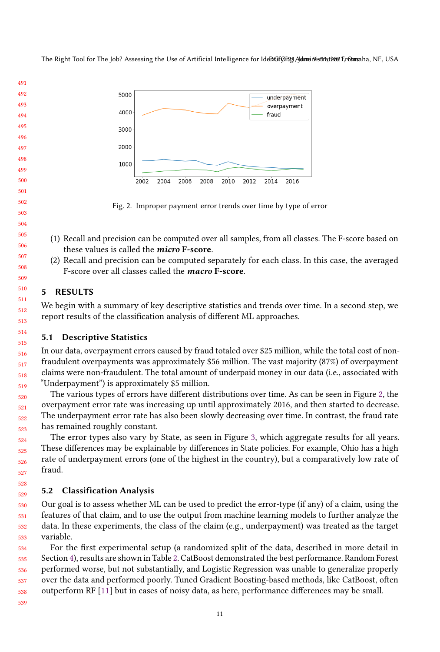<span id="page-10-1"></span>

Fig. 2. Improper payment error trends over time by type of error

- (1) Recall and precision can be computed over all samples, from all classes. The F-score based on these values is called the micro F-score.
- (2) Recall and precision can be computed separately for each class. In this case, the averaged F-score over all classes called the macro F-score.

## <span id="page-10-0"></span>5 RESULTS

We begin with a summary of key descriptive statistics and trends over time. In a second step, we report results of the classification analysis of different ML approaches.

## 5.1 Descriptive Statistics

In our data, overpayment errors caused by fraud totaled over \$25 million, while the total cost of nonfraudulent overpayments was approximately \$56 million. The vast majority (87%) of overpayment claims were non-fraudulent. The total amount of underpaid money in our data (i.e., associated with "Underpayment") is approximately \$5 million.

The various types of errors have different distributions over time. As can be seen in Figure [2,](#page-10-1) the overpayment error rate was increasing up until approximately 2016, and then started to decrease. The underpayment error rate has also been slowly decreasing over time. In contrast, the fraud rate has remained roughly constant.

The error types also vary by State, as seen in Figure [3,](#page-11-0) which aggregate results for all years. These differences may be explainable by differences in State policies. For example, Ohio has a high rate of underpayment errors (one of the highest in the country), but a comparatively low rate of fraud.

## 5.2 Classification Analysis

 Our goal is to assess whether ML can be used to predict the error-type (if any) of a claim, using the features of that claim, and to use the output from machine learning models to further analyze the data. In these experiments, the class of the claim (e.g., underpayment) was treated as the target variable.

 For the first experimental setup (a randomized split of the data, described in more detail in Section [4\)](#page-5-0), results are shown in Table [2.](#page-11-1) CatBoost demonstrated the best performance. Random Forest performed worse, but not substantially, and Logistic Regression was unable to generalize properly over the data and performed poorly. Tuned Gradient Boosting-based methods, like CatBoost, often outperform RF [\[11\]](#page-17-23) but in cases of noisy data, as here, performance differences may be small.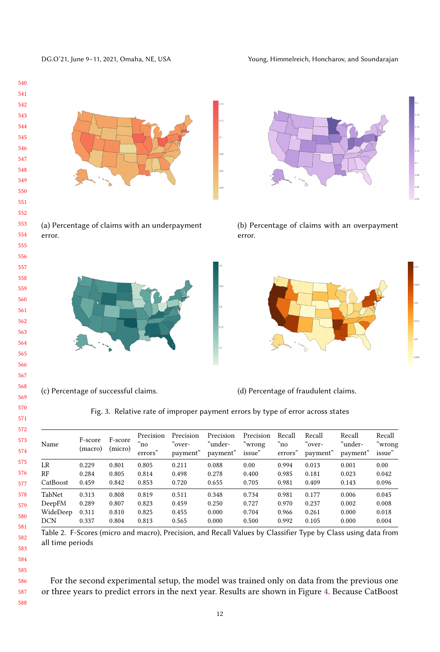

<span id="page-11-0"></span>DG.O'21, June 9-11, 2021, Omaha, NE, USA Young, Himmelreich, Honcharov, and Soundarajan

(c) Percentage of successful claims. (d) Percentage of fraudulent claims.

Fig. 3. Relative rate of improper payment errors by type of error across states

<span id="page-11-1"></span>

| Name       | F-score<br>(macro) | F-score<br>(micro) | Precision<br>n <sub>o</sub><br>errors" | Precision<br>`over-<br>payment" | Precision<br>"under-<br>payment" | Precision<br>"wrong<br>issue" | Recall<br>$\degree$ no<br>errors" | Recall<br>"over-<br>payment" | Recall<br>"under-<br>payment" | Recall<br>"wrong<br>issue" |
|------------|--------------------|--------------------|----------------------------------------|---------------------------------|----------------------------------|-------------------------------|-----------------------------------|------------------------------|-------------------------------|----------------------------|
| LR         | 0.229              | 0.801              | 0.805                                  | 0.211                           | 0.088                            | 0.00                          | 0.994                             | 0.013                        | 0.001                         | 0.00                       |
| RF         | 0.284              | 0.805              | 0.814                                  | 0.498                           | 0.278                            | 0.400                         | 0.985                             | 0.181                        | 0.023                         | 0.042                      |
| CatBoost   | 0.459              | 0.842              | 0.853                                  | 0.720                           | 0.655                            | 0.705                         | 0.981                             | 0.409                        | 0.143                         | 0.096                      |
| TabNet     | 0.313              | 0.808              | 0.819                                  | 0.511                           | 0.348                            | 0.734                         | 0.981                             | 0.177                        | 0.006                         | 0.045                      |
| DeepFM     | 0.289              | 0.807              | 0.823                                  | 0.459                           | 0.250                            | 0.727                         | 0.970                             | 0.237                        | 0.002                         | 0.008                      |
| WideDeep   | 0.311              | 0.810              | 0.825                                  | 0.455                           | 0.000                            | 0.704                         | 0.966                             | 0.261                        | 0.000                         | 0.018                      |
| <b>DCN</b> | 0.337              | 0.804              | 0.813                                  | 0.565                           | 0.000                            | 0.500                         | 0.992                             | 0.105                        | 0.000                         | 0.004                      |
|            |                    |                    |                                        |                                 |                                  |                               |                                   |                              |                               |                            |

Table 2. F-Scores (micro and macro), Precision, and Recall Values by Classifier Type by Class using data from all time periods

582 583 584

585

586

587

588

For the second experimental setup, the model was trained only on data from the previous one or three years to predict errors in the next year. Results are shown in Figure [4.](#page-12-1) Because CatBoost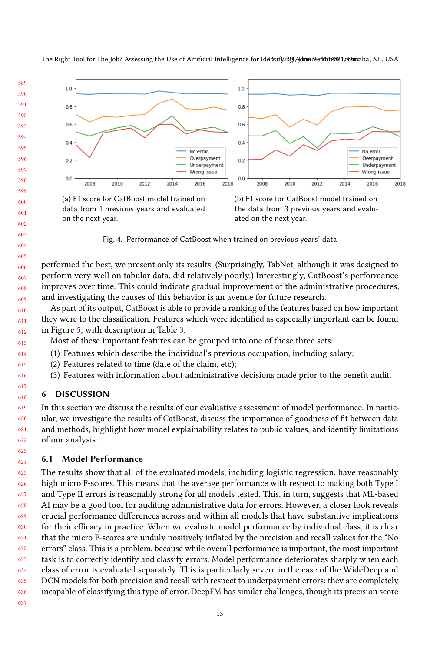<span id="page-12-1"></span>

606 607 608 609 performed the best, we present only its results. (Surprisingly, TabNet, although it was designed to perform very well on tabular data, did relatively poorly.) Interestingly, CatBoost's performance improves over time. This could indicate gradual improvement of the administrative procedures, and investigating the causes of this behavior is an avenue for future research.

610 611 612 As part of its output, CatBoost is able to provide a ranking of the features based on how important they were to the classification. Features which were identified as especially important can be found in Figure [5,](#page-13-0) with description in Table [3.](#page-13-1)

613 Most of these important features can be grouped into one of these three sets:

- (1) Features which describe the individual's previous occupation, including salary;
- (2) Features related to time (date of the claim, etc);
- (3) Features with information about administrative decisions made prior to the benefit audit.

## <span id="page-12-0"></span>**DISCUSSION**

619 620 621 622 In this section we discuss the results of our evaluative assessment of model performance. In particular, we investigate the results of CatBoost, discuss the importance of goodness of fit between data and methods, highlight how model explainability relates to public values, and identify limitations of our analysis.

## 6.1 Model Performance

625 626 627 628 629 630 631 632 633 634 635 636 The results show that all of the evaluated models, including logistic regression, have reasonably high micro F-scores. This means that the average performance with respect to making both Type I and Type II errors is reasonably strong for all models tested. This, in turn, suggests that ML-based AI may be a good tool for auditing administrative data for errors. However, a closer look reveals crucial performance differences across and within all models that have substantive implications for their efficacy in practice. When we evaluate model performance by individual class, it is clear that the micro F-scores are unduly positively inflated by the precision and recall values for the "No errors" class. This is a problem, because while overall performance is important, the most important task is to correctly identify and classify errors. Model performance deteriorates sharply when each class of error is evaluated separately. This is particularly severe in the case of the WideDeep and DCN models for both precision and recall with respect to underpayment errors: they are completely incapable of classifying this type of error. DeepFM has similar challenges, though its precision score

637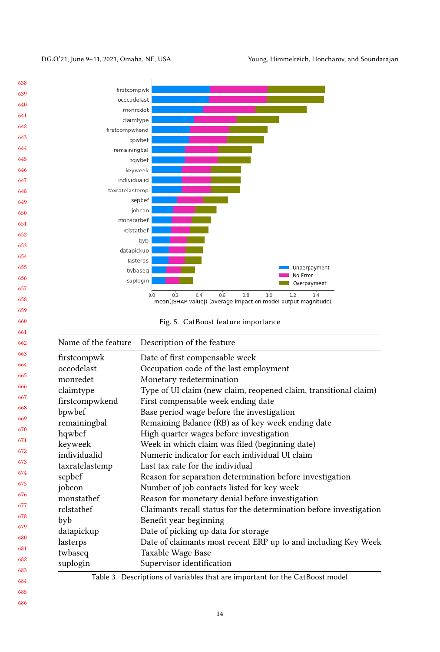<span id="page-13-0"></span>DG.O'21, June 9–11, 2021, Omaha, NE, USA Young, Himmelreich, Honcharov, and Soundarajan

<span id="page-13-1"></span>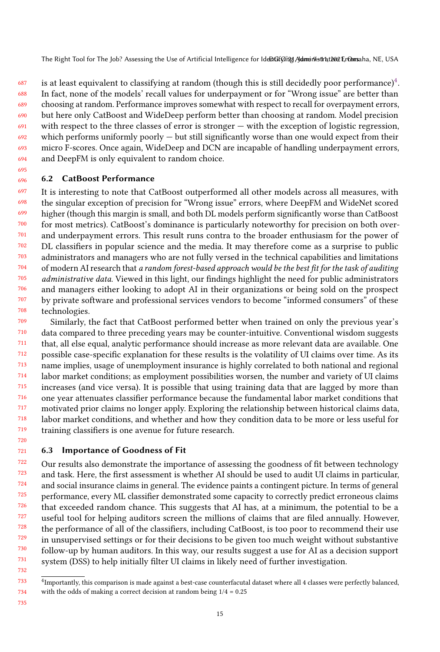687 688 689 690 691 692 693 694 is at least equivalent to classifying at random (though this is still decidedly poor performance) $^4$  $^4$ . In fact, none of the models' recall values for underpayment or for "Wrong issue" are better than choosing at random. Performance improves somewhat with respect to recall for overpayment errors, but here only CatBoost and WideDeep perform better than choosing at random. Model precision with respect to the three classes of error is stronger — with the exception of logistic regression, which performs uniformly poorly — but still significantly worse than one would expect from their micro F-scores. Once again, WideDeep and DCN are incapable of handling underpayment errors, and DeepFM is only equivalent to random choice.

#### 696 6.2 CatBoost Performance

695

697 698 699 700 701 702 703 704 705 706 707 708 It is interesting to note that CatBoost outperformed all other models across all measures, with the singular exception of precision for "Wrong issue" errors, where DeepFM and WideNet scored higher (though this margin is small, and both DL models perform significantly worse than CatBoost for most metrics). CatBoost's dominance is particularly noteworthy for precision on both overand underpayment errors. This result runs contra to the broader enthusiasm for the power of DL classifiers in popular science and the media. It may therefore come as a surprise to public administrators and managers who are not fully versed in the technical capabilities and limitations of modern AI research that a random forest-based approach would be the best fit for the task of auditing administrative data. Viewed in this light, our findings highlight the need for public administrators and managers either looking to adopt AI in their organizations or being sold on the prospect by private software and professional services vendors to become "informed consumers" of these technologies.

709 710 711 712 713 714 715 716 717 718 719 Similarly, the fact that CatBoost performed better when trained on only the previous year's data compared to three preceding years may be counter-intuitive. Conventional wisdom suggests that, all else equal, analytic performance should increase as more relevant data are available. One possible case-specific explanation for these results is the volatility of UI claims over time. As its name implies, usage of unemployment insurance is highly correlated to both national and regional labor market conditions; as employment possibilities worsen, the number and variety of UI claims increases (and vice versa). It is possible that using training data that are lagged by more than one year attenuates classifier performance because the fundamental labor market conditions that motivated prior claims no longer apply. Exploring the relationship between historical claims data, labor market conditions, and whether and how they condition data to be more or less useful for training classifiers is one avenue for future research.

#### 721 6.3 Importance of Goodness of Fit

722 723 724 725 726 727 728 729 730 731 Our results also demonstrate the importance of assessing the goodness of fit between technology and task. Here, the first assessment is whether AI should be used to audit UI claims in particular, and social insurance claims in general. The evidence paints a contingent picture. In terms of general performance, every ML classifier demonstrated some capacity to correctly predict erroneous claims that exceeded random chance. This suggests that AI has, at a minimum, the potential to be a useful tool for helping auditors screen the millions of claims that are filed annually. However, the performance of all of the classifiers, including CatBoost, is too poor to recommend their use in unsupervised settings or for their decisions to be given too much weight without substantive follow-up by human auditors. In this way, our results suggest a use for AI as a decision support system (DSS) to help initially filter UI claims in likely need of further investigation.

735

732

<span id="page-14-0"></span><sup>733</sup> 734 <sup>4</sup>Importantly, this comparison is made against a best-case counterfacutal dataset where all 4 classes were perfectly balanced, with the odds of making a correct decision at random being 1/4 = 0.25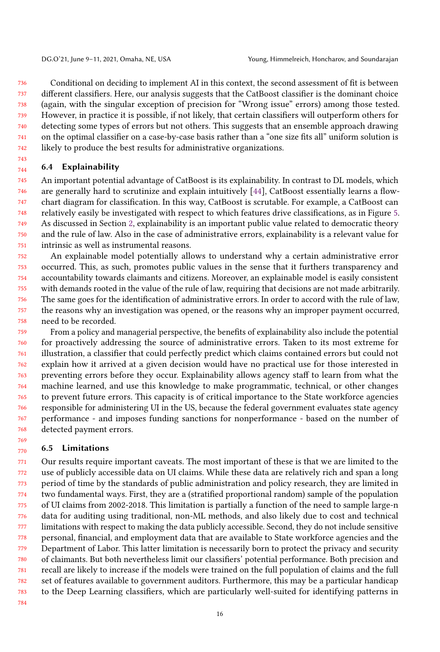736 737 738 739 740 741 742 Conditional on deciding to implement AI in this context, the second assessment of fit is between different classifiers. Here, our analysis suggests that the CatBoost classifier is the dominant choice (again, with the singular exception of precision for "Wrong issue" errors) among those tested. However, in practice it is possible, if not likely, that certain classifiers will outperform others for detecting some types of errors but not others. This suggests that an ensemble approach drawing on the optimal classifier on a case-by-case basis rather than a "one size fits all" uniform solution is likely to produce the best results for administrative organizations.

#### 744 6.4 Explainability

743

745 746 747 748 749 750 751 An important potential advantage of CatBoost is its explainability. In contrast to DL models, which are generally hard to scrutinize and explain intuitively [\[44\]](#page-18-5), CatBoost essentially learns a flowchart diagram for classification. In this way, CatBoost is scrutable. For example, a CatBoost can relatively easily be investigated with respect to which features drive classifications, as in Figure [5.](#page-13-0) As discussed in Section [2,](#page-1-0) explainability is an important public value related to democratic theory and the rule of law. Also in the case of administrative errors, explainability is a relevant value for intrinsic as well as instrumental reasons.

752 753 754 755 756 757 758 An explainable model potentially allows to understand why a certain administrative error occurred. This, as such, promotes public values in the sense that it furthers transparency and accountability towards claimants and citizens. Moreover, an explainable model is easily consistent with demands rooted in the value of the rule of law, requiring that decisions are not made arbitrarily. The same goes for the identification of administrative errors. In order to accord with the rule of law, the reasons why an investigation was opened, or the reasons why an improper payment occurred, need to be recorded.

759 760 761 762 763 764 765 766 767 768 From a policy and managerial perspective, the benefits of explainability also include the potential for proactively addressing the source of administrative errors. Taken to its most extreme for illustration, a classifier that could perfectly predict which claims contained errors but could not explain how it arrived at a given decision would have no practical use for those interested in preventing errors before they occur. Explainability allows agency staff to learn from what the machine learned, and use this knowledge to make programmatic, technical, or other changes to prevent future errors. This capacity is of critical importance to the State workforce agencies responsible for administering UI in the US, because the federal government evaluates state agency performance - and imposes funding sanctions for nonperformance - based on the number of detected payment errors.

#### 770 6.5 Limitations

771 772 773 774 775 776 777 778 779 780 781 782 783 Our results require important caveats. The most important of these is that we are limited to the use of publicly accessible data on UI claims. While these data are relatively rich and span a long period of time by the standards of public administration and policy research, they are limited in two fundamental ways. First, they are a (stratified proportional random) sample of the population of UI claims from 2002-2018. This limitation is partially a function of the need to sample large-n data for auditing using traditional, non-ML methods, and also likely due to cost and technical limitations with respect to making the data publicly accessible. Second, they do not include sensitive personal, financial, and employment data that are available to State workforce agencies and the Department of Labor. This latter limitation is necessarily born to protect the privacy and security of claimants. But both nevertheless limit our classifiers' potential performance. Both precision and recall are likely to increase if the models were trained on the full population of claims and the full set of features available to government auditors. Furthermore, this may be a particular handicap to the Deep Learning classifiers, which are particularly well-suited for identifying patterns in

784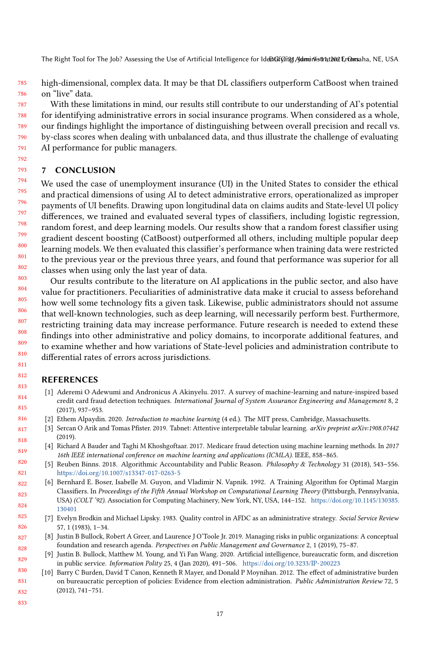785 786 high-dimensional, complex data. It may be that DL classifiers outperform CatBoost when trained on "live" data.

787 788 789 790 791 With these limitations in mind, our results still contribute to our understanding of AI's potential for identifying administrative errors in social insurance programs. When considered as a whole, our findings highlight the importance of distinguishing between overall precision and recall vs. by-class scores when dealing with unbalanced data, and thus illustrate the challenge of evaluating AI performance for public managers.

## 7 CONCLUSION

792 793

805 806 807

794 795 796 797 798 799 800 801 802 803 We used the case of unemployment insurance (UI) in the United States to consider the ethical and practical dimensions of using AI to detect administrative errors, operationalized as improper payments of UI benefits. Drawing upon longitudinal data on claims audits and State-level UI policy differences, we trained and evaluated several types of classifiers, including logistic regression, random forest, and deep learning models. Our results show that a random forest classifier using gradient descent boosting (CatBoost) outperformed all others, including multiple popular deep learning models. We then evaluated this classifier's performance when training data were restricted to the previous year or the previous three years, and found that performance was superior for all classes when using only the last year of data.

804 808 809 810 811 Our results contribute to the literature on AI applications in the public sector, and also have value for practitioners. Peculiarities of administrative data make it crucial to assess beforehand how well some technology fits a given task. Likewise, public administrators should not assume that well-known technologies, such as deep learning, will necessarily perform best. Furthermore, restricting training data may increase performance. Future research is needed to extend these findings into other administrative and policy domains, to incorporate additional features, and to examine whether and how variations of State-level policies and administration contribute to differential rates of errors across jurisdictions.

#### 812 REFERENCES

- <span id="page-16-6"></span>813 814 815 [1] Aderemi O Adewumi and Andronicus A Akinyelu. 2017. A survey of machine-learning and nature-inspired based credit card fraud detection techniques. International Journal of System Assurance Engineering and Management 8, 2 (2017), 937–953.
- <span id="page-16-7"></span>816 [2] Ethem Alpaydin. 2020. Introduction to machine learning (4 ed.). The MIT press, Cambridge, Massachusetts.
- <span id="page-16-9"></span>817 818 [3] Sercan O Arik and Tomas Pfister. 2019. Tabnet: Attentive interpretable tabular learning. arXiv preprint arXiv:1908.07442 (2019).
- <span id="page-16-1"></span>819 [4] Richard A Bauder and Taghi M Khoshgoftaar. 2017. Medicare fraud detection using machine learning methods. In 2017 16th IEEE international conference on machine learning and applications (ICMLA). IEEE, 858–865.
- <span id="page-16-3"></span>820 821 [5] Reuben Binns. 2018. Algorithmic Accountability and Public Reason. Philosophy & Technology 31 (2018), 543–556. <https://doi.org/10.1007/s13347-017-0263-5>
- <span id="page-16-8"></span>822 823 824 [6] Bernhard E. Boser, Isabelle M. Guyon, and Vladimir N. Vapnik. 1992. A Training Algorithm for Optimal Margin Classifiers. In Proceedings of the Fifth Annual Workshop on Computational Learning Theory (Pittsburgh, Pennsylvania, USA) (COLT '92). Association for Computing Machinery, New York, NY, USA, 144–152. [https://doi.org/10.1145/130385.](https://doi.org/10.1145/130385.130401) [130401](https://doi.org/10.1145/130385.130401)
- <span id="page-16-5"></span>825 826 [7] Evelyn Brodkin and Michael Lipsky. 1983. Quality control in AFDC as an administrative strategy. Social Service Review 57, 1 (1983), 1–34.
- <span id="page-16-0"></span>827 828 [8] Justin B Bullock, Robert A Greer, and Laurence J O'Toole Jr. 2019. Managing risks in public organizations: A conceptual foundation and research agenda. Perspectives on Public Management and Governance 2, 1 (2019), 75–87.
- <span id="page-16-2"></span>829 [9] Justin B. Bullock, Matthew M. Young, and Yi Fan Wang. 2020. Artificial intelligence, bureaucratic form, and discretion in public service. Information Polity 25, 4 (Jan 2020), 491–506. <https://doi.org/10.3233/IP-200223>
- <span id="page-16-4"></span>830 831 832 [10] Barry C Burden, David T Canon, Kenneth R Mayer, and Donald P Moynihan. 2012. The effect of administrative burden on bureaucratic perception of policies: Evidence from election administration. Public Administration Review 72, 5 (2012), 741–751.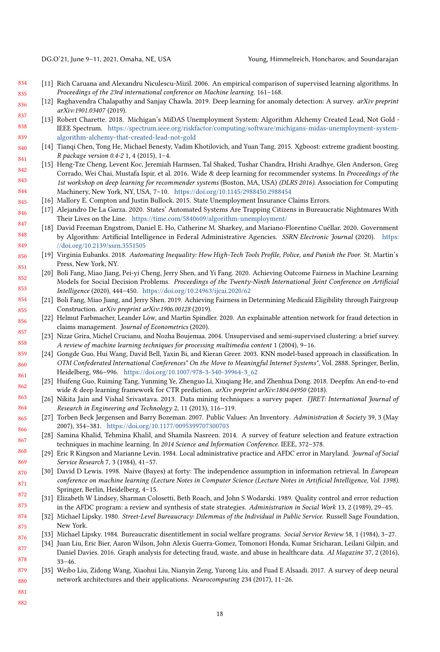<span id="page-17-23"></span>

- 834 835 [11] Rich Caruana and Alexandru Niculescu-Mizil. 2006. An empirical comparison of supervised learning algorithms. In Proceedings of the 23rd international conference on Machine learning. 161–168.
- <span id="page-17-11"></span>836 837 [12] Raghavendra Chalapathy and Sanjay Chawla. 2019. Deep learning for anomaly detection: A survey. arXiv preprint arXiv:1901.03407 (2019).
- <span id="page-17-1"></span>838 839 [13] Robert Charette. 2018. Michigan's MiDAS Unemployment System: Algorithm Alchemy Created Lead, Not Gold - IEEE Spectrum. [https://spectrum.ieee.org/riskfactor/computing/software/michigans-midas-unemployment-system](https://spectrum.ieee.org/riskfactor/computing/software/michigans-midas-unemployment-system-algorithm-alchemy-that-created-lead-not-gold)[algorithm-alchemy-that-created-lead-not-gold](https://spectrum.ieee.org/riskfactor/computing/software/michigans-midas-unemployment-system-algorithm-alchemy-that-created-lead-not-gold)
- <span id="page-17-20"></span>840 841 [14] Tianqi Chen, Tong He, Michael Benesty, Vadim Khotilovich, and Yuan Tang. 2015. Xgboost: extreme gradient boosting. R package version 0.4-2 1, 4 (2015), 1–4.
- <span id="page-17-22"></span>842 843 844 [15] Heng-Tze Cheng, Levent Koc, Jeremiah Harmsen, Tal Shaked, Tushar Chandra, Hrishi Aradhye, Glen Anderson, Greg Corrado, Wei Chai, Mustafa Ispir, et al. 2016. Wide & deep learning for recommender systems. In Proceedings of the 1st workshop on deep learning for recommender systems (Boston, MA, USA) (DLRS 2016). Association for Computing Machinery, New York, NY, USA, 7–10. <https://doi.org/10.1145/2988450.2988454>
- <span id="page-17-13"></span>845 [16] Mallory E. Compton and Justin Bullock. 2015. State Unemployment Insurance Claims Errors.
- <span id="page-17-6"></span>846 [17] Alejandro De La Garza. 2020. States' Automated Systems Are Trapping Citizens in Bureaucratic Nightmares With Their Lives on the Line. <https://time.com/5840609/algorithm-unemployment/>
- <span id="page-17-5"></span>847 848 849 [18] David Freeman Engstrom, Daniel E. Ho, Catherine M. Sharkey, and Mariano-Florentino Cuéllar. 2020. Government by Algorithm: Artificial Intelligence in Federal Administrative Agencies. SSRN Electronic Journal (2020). [https:](https://doi.org/10.2139/ssrn.3551505) [//doi.org/10.2139/ssrn.3551505](https://doi.org/10.2139/ssrn.3551505)
- <span id="page-17-2"></span>850 851 [19] Virginia Eubanks. 2018. Automating Inequality: How High-Tech Tools Profile, Police, and Punish the Poor. St. Martin's Press, New York, NY.
- <span id="page-17-12"></span>852 853 [20] Boli Fang, Miao Jiang, Pei-yi Cheng, Jerry Shen, and Yi Fang. 2020. Achieving Outcome Fairness in Machine Learning Models for Social Decision Problems. Proceedings of the Twenty-Ninth International Joint Conference on Artificial Intelligence (2020), 444–450. <https://doi.org/10.24963/ijcai.2020/62>
- 854 855 [21] Boli Fang, Miao Jiang, and Jerry Shen. 2019. Achieving Fairness in Determining Medicaid Eligibility through Fairgroup Construction. arXiv preprint arXiv:1906.00128 (2019).
- <span id="page-17-3"></span>856 857 [22] Helmut Farbmacher, Leander Löw, and Martin Spindler. 2020. An explainable attention network for fraud detection in claims management. Journal of Econometrics (2020).
- <span id="page-17-15"></span>858 [23] Nizar Grira, Michel Crucianu, and Nozha Boujemaa. 2004. Unsupervised and semi-supervised clustering: a brief survey. A review of machine learning techniques for processing multimedia content 1 (2004), 9–16.
- <span id="page-17-16"></span>859 860 861 [24] Gongde Guo, Hui Wang, David Bell, Yaxin Bi, and Kieran Greer. 2003. KNN model-based approach in classification. In OTM Confederated International Conferences" On the Move to Meaningful Internet Systems", Vol. 2888. Springer, Berlin, Heidelberg, 986–996. [https://doi.org/10.1007/978-3-540-39964-3\\_62](https://doi.org/10.1007/978-3-540-39964-3_62)
- <span id="page-17-21"></span>862 [25] Huifeng Guo, Ruiming Tang, Yunming Ye, Zhenguo Li, Xiuqiang He, and Zhenhua Dong. 2018. Deepfm: An end-to-end wide & deep learning framework for CTR prediction. arXiv preprint arXiv:1804.04950 (2018).
- <span id="page-17-19"></span>863 864 [26] Nikita Jain and Vishal Srivastava. 2013. Data mining techniques: a survey paper. IJRET: International Journal of Research in Engineering and Technology 2, 11 (2013), 116–119.
- <span id="page-17-7"></span>865 866 [27] Torben Beck Jørgensen and Barry Bozeman. 2007. Public Values: An Inventory. Administration & Society 39, 3 (May 2007), 354–381. <https://doi.org/10.1177/0095399707300703>
- <span id="page-17-14"></span>867 [28] Samina Khalid, Tehmina Khalil, and Shamila Nasreen. 2014. A survey of feature selection and feature extraction techniques in machine learning. In 2014 Science and Information Conference. IEEE, 372–378.
- <span id="page-17-0"></span>868 869 [29] Eric R Kingson and Marianne Levin. 1984. Local administrative practice and AFDC error in Maryland. Journal of Social Service Research 7, 3 (1984), 41–57.
- <span id="page-17-17"></span>870 871 872 [30] David D Lewis. 1998. Naive (Bayes) at forty: The independence assumption in information retrieval. In European conference on machine learning (Lecture Notes in Computer Science (Lecture Notes in Artificial Intelligence, Vol. 1398). Springer, Berlin, Heidelberg, 4–15.
- <span id="page-17-9"></span>873 [31] Elizabeth W Lindsey, Sharman Colosetti, Beth Roach, and John S Wodarski. 1989. Quality control and error reduction in the AFDC program: a review and synthesis of state strategies. Administration in Social Work 13, 2 (1989), 29–45.
- <span id="page-17-8"></span>874 875 [32] Michael Lipsky. 1980. Street-Level Bureaucracy: Dilemmas of the Individual in Public Service. Russell Sage Foundation, New York.
- <span id="page-17-10"></span>876 [33] Michael Lipsky. 1984. Bureaucratic disentitlement in social welfare programs. Social Service Review 58, 1 (1984), 3–27.
- <span id="page-17-4"></span>877 878 [34] Juan Liu, Eric Bier, Aaron Wilson, John Alexis Guerra-Gomez, Tomonori Honda, Kumar Sricharan, Leilani Gilpin, and Daniel Davies. 2016. Graph analysis for detecting fraud, waste, and abuse in healthcare data. AI Magazine 37, 2 (2016), 33–46.
- <span id="page-17-18"></span>879 880 [35] Weibo Liu, Zidong Wang, Xiaohui Liu, Nianyin Zeng, Yurong Liu, and Fuad E Alsaadi. 2017. A survey of deep neural network architectures and their applications. Neurocomputing 234 (2017), 11–26.
- 881
- 882